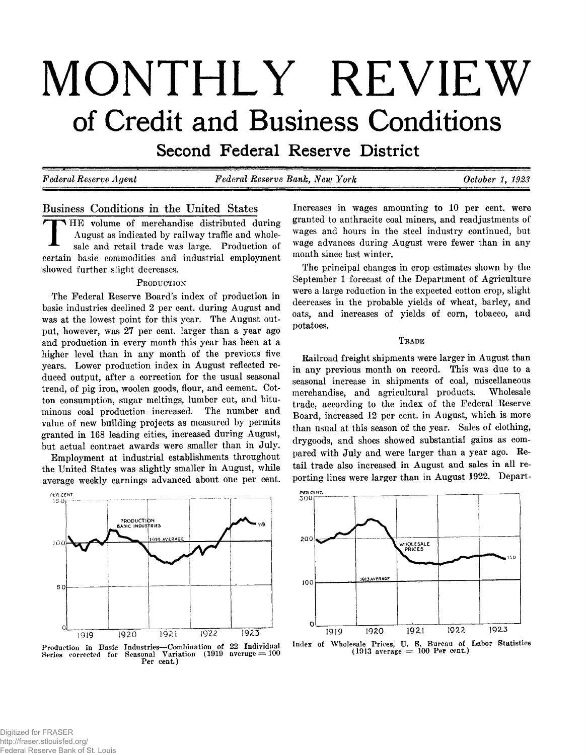# **MONTHLY REVIEW of Credit and Business Conditions**

**Second Federal Reserve District** 

*Federal Reserve Agent Federal Reserve Bank, New York October 1 , 1923*

# **Business Conditions in the United States**

**TEST H E volume of merchandise distributed during August as indicated by railway traffic and wholesale and retail trade was large. Production of certain basic commodities and industrial employment showed further slight decreases.**

#### **P roduction**

**The Federal Reserve Board's index of production in basic industries declined 2 per cent, during August and was at the lowest point for this year. The August output, however, was 27 per cent, larger than a year ago and production in every month this year has been at a higher level than in any month of the previous five years. Lower production index in August reflected reduced output, after a correction for the usual seasonal trend, of pig iron, woolen goods, flour, and cement. Cotton consumption, sugar meltings, lumber cut, and bituminous coal production increased. The number and value of new building projects as measured by permits granted in 168 leading cities, increased during August, but actual contract awards were smaller than in July.**

**Employment at industrial establishments throughout the United States was slightly smaller in August, while average weekly earnings advanced about one per cent.**



**Production in Basic Industries— Combination of 22 Individual Series corrected for Seasonal Variation (1919 average = 100 Per cent.)**

**Increases in wages amounting to 10 per cent, were granted to anthracite coal miners, and readjustments of wages and hours in the steel industry continued, but wage advances during August were fewer than in any month since last winter.**

**The principal changes in crop estimates shown by the September 1 forecast of the Department of Agriculture were a large reduction in the expected cotton crop, slight decreases in the probable yields of wheat, barley, and oats, and increases of yields of corn, tobacco, and potatoes.**

#### TRADE

**Railroad freight shipments were larger in August than in any previous month on record. This was due to a seasonal increase in shipments of coal, miscellaneous merchandise, and agricultural products. Wholesale trade, according to the index of the Federal Reserve Board, increased 12 per cent, in August, which is more than usual at this season of the year. Sales of clothing, drygoods, and shoes showed substantial gains as compared with July and were larger than a year ago. Retail trade also increased in August and sales in all reporting lines were larger than in August 1922. Depart-**



**Index of Wholesale Prices, U. S. Bureau of Labor Statistics (1913 average = 100 Per cent.)**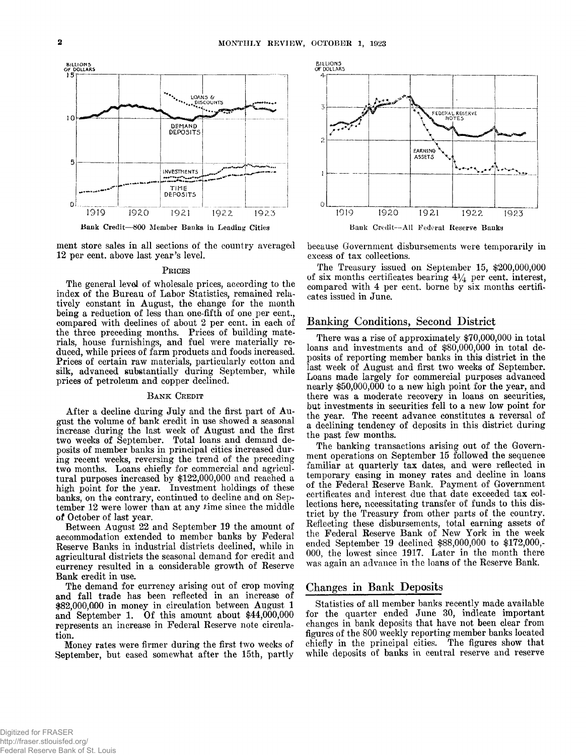

**ment store sales in all sections of the country averaged 12 per cent, above last year's level.**

#### PRICES

**The general level of wholesale prices, according to the index of the Bureau of Labor Statistics, remained relatively constant in August, the change for the month being a reduction of less than one-fifth of one per cent., compared with declines of about 2 per cent, in each of the three preceding months. Prices of building materials, house furnishings, and fuel were materially reduced, while prices of farm products and foods increased. Prices of certain raw materials, particularly cotton and** silk, advanced substantially during September, while **prices of petroleum and copper declined.**

#### BANK CREDIT

**After a decline during July and the first part of August the volume of bank credit in use showed a seasonal increase during the last week of August and the first two weeks of September. Total loans and demand deposits of member banks in principal cities increased during recent weeks, reversing the trend of the preceding two months. Loans chiefly for commercial and agricultural purposes increased by \$122,000,000 and reached a high point for the year. Investment holdings of these banks, on the contrary, continued to decline and on Sep**tember 12 were lower than at any time since the middle **of October of last year.**

**Between August 22 and September 19 the amount of accommodation extended to member banks by Federal Reserve Banks in industrial districts declined, while in agricultural districts the seasonal demand for credit and currency resulted in a considerable growth of Reserve Bank credit in use.**

**The demand for currency arising out of crop moving and fall trade has been reflected in an increase of \$82,000,000 in money in circulation between August 1** and September 1. Of this amount about \$44,000,000 **represents an increase in Federal Reserve note circulation.**

**Money rates were firmer during the first two weeks of September, but eased somewhat after the 15th, partly**



**because Government disbursements were temporarily in excess of tax collections.**

**The Treasury issued on September 15, \$200,000,000** of six months certificates bearing  $4\frac{1}{4}$  per cent, interest, **compared with 4 per cent, borne by six months certificates issued in June.**

#### **Banking Conditions, Second District**

**There was a rise of approximately \$70,000,000 in total loans and investments and of \$80,000,000 in total deposits of reporting member banks in this district in the last week of August and first two weeks of September. Loans made largely for commercial purposes advanced nearly \$50,000,000 to a new high point for the year, and there was a moderate recovery in loans on securities, but investments in securities fell to a new low point for the year. The recent advance constitutes a reversal of a declining tendency of deposits in this district during the past few months.**

**The banking transactions arising out of the Government operations on September 15 followed the sequence familiar at quarterly tax dates, and were reflected in temporary easing in money rates and decline in loans of the Federal Reserve Bank. Payment of Government certificates and interest due that date exceeded tax collections here, necessitating transfer of funds to this district by the Treasury from other parts of the country. Reflecting these disbursements, total earning assets of the Federal Reserve Bank of New York in the week ended September 19 declined \$88,000,000 to \$172,000,- 000, the lowest since 1917. Later in the month there was again an advance in the loans of the Reserve Bank.**

## **Changes in Bank Deposits**

**Statistics of all member banks recently made available for the quarter ended June 30, indicate important changes in bank deposits that have not been clear from figures of the 800 weekly reporting member banks located chiefly in the principal cities. The figures show that while deposits of banks in central reserve and reserve**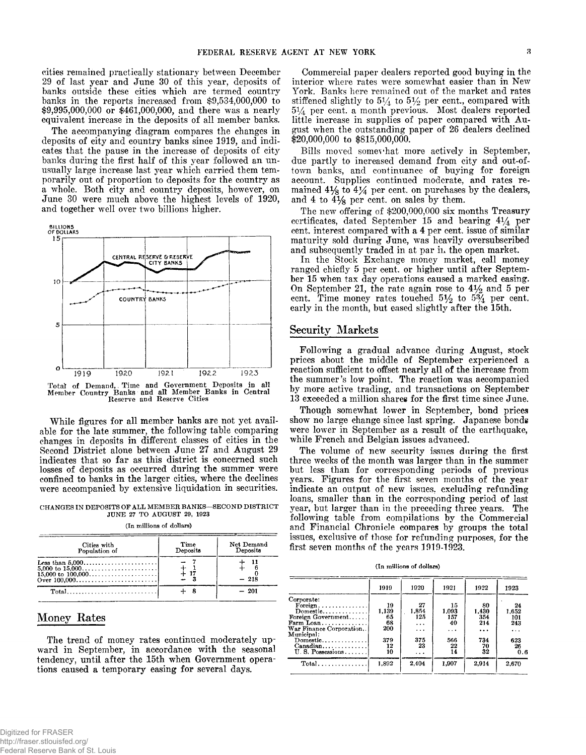**cities remained practically stationary between December 29 of last year and June 30 of this year, deposits of banks outside these cities which are termed country banks in the reports increased from \$9,534,000,000 to \$9,995,000,000 or \$461,000,000, and there was a nearly equivalent increase in the deposits of all member banks.**

**The accompanying diagram compares the changes in deposits of city and country banks since 1919, and indicates that the pause in the increase of deposits of city banks during the first half of this year followed an unusually large increase last year which carried them temporarily out of proportion to deposits for the country as a whole. Both city and country deposits, however, on June 30 were much above the highest levels of 1920, and together well over two billions higher.**



Total of Demand,. Time and Government Deposits in all Member Country Banks and all Member Banks in Central Reserve and Reserve Cities

**While figures for all member banks are not yet available for the late summer, the following table comparing changes in deposits in different classes of cities in the Second District alone between June 27 and August 29 indicates that so far as this district is concerned such losses of deposits as occurred during the summer were confined to banks in the larger cities, where the declines were accompanied by extensive liquidation in securities.**

CHANGES IN DEPOSITS OF ALL MEMBER BANKS-SECOND DISTRICT JUNE 27 TO AUGUST 29, 1923

| (In millions of dollars) |  |
|--------------------------|--|
|                          |  |

| Cities with<br>Population of                           | Time<br>Deposits | Net Demand<br>Deposits |
|--------------------------------------------------------|------------------|------------------------|
| Less than $5.000$<br>5,000 to $15,000$<br>Over 100.000 | $+17$            | $-218$                 |
|                                                        |                  | $-201$                 |

## **Money Rates**

**The trend of money rates continued moderately upward in September, in accordance with the seasonal tendency, until after the 15th when Government operations caused a temporary easing for several days.**

**Commercial paper dealers reported good buying in the interior where rates were somewhat easier than in New York. Banks here remained out of the market and rates** stiffened slightly to  $5\frac{1}{4}$  to  $5\frac{1}{2}$  per cent., compared with 514 **per cent, a month previous. Most dealers reported little increase in supplies of paper compared with August when the outstanding paper of 26 dealers declined \$20,000,000 to \$815,000,000.**

**Bills moved somevhat more actively in September, due partly to increased demand from city and out-oftown banks, and continuance of buying for foreign account. Supplies continued moderate, and rates re**mained  $4\frac{1}{8}$  to  $4\frac{1}{4}$  per cent, on purchases by the dealers, **and 4 to 4% per cent, on sales by them.**

**The new offering of \$200,000,000 six months Treasury certificates, dated September 15 and bearing 4\*4 per cent, interest compared with a 4 per cent, issue of similar maturity sold during June, was heavily oversubscribed and subsequently traded in at par in the open market.**

**In the Stock Exchange money market, call money ranged chiefly 5 per cent, or higher until after September 15 when tax day operations caused a marked easing. On September 21, the rate again rose to 4***y2* **and 5 per** cent. Time money rates touched  $5\frac{1}{2}$  to  $5\frac{3}{4}$  per cent. **early in the month, but eased slightly after the 15th.**

## **Security Markets**

**Following a gradual advance during August, stock prices about the middle of September experienced a reaction sufficient to offset nearly all of the increase from the summer's low point. The reaction was accompanied by more active trading, and transactions on September 13 exceeded a million shares for the first time since June.**

**Though somewhat lower in September, bond prices show no large change since last spring. Japanese bonds were lower in September as a result of the earthquake, while French and Belgian issues advanced.**

**The volume of new security issues during the first three weeks of the month was larger than in the summer but less than for corresponding periods of previous years. Figures for the first seven months of the year indicate an output of new issues, excluding refunding loans, smaller than in the corresponding period of last year, but larger than in the preceding three years. The** following table from compilations by the Commercial **and Financial Chronicle compares by groups the total issues, exclusive of those for refunding purposes, for the first seven months of the years 1919-1923.**

(In millions of dollars)

|                         | 1919  | 1920     | 1921  | 1922     | 1923  |
|-------------------------|-------|----------|-------|----------|-------|
| Corporate:              |       |          |       |          |       |
| Foreign                 | 19    | 27       | 15    | 80       | 24    |
| Domestic                | 1.139 | 1.854    | 1.093 | 1.430    | 1.652 |
| Foreign Government      | 65    | 125      | 157   | 354      | 101   |
| Farm Loan               | 68    | $\cdots$ | 40    | 214      | 243   |
| War Finance Corporation | 200   | .        | .     | $\cdots$ | .     |
| Municipal:              |       |          |       |          |       |
| Domestic                | 379   | 375      | 566   | 734      | 623   |
|                         |       | 23       |       |          |       |
|                         | 12    |          | 22    | 70       | 26    |
| U.S. Possessions        | 10    | .        | 14    | 32       | 0.6   |
| $Total$                 | 1.892 | 2.404    | 1.907 | 2.914    | 2.670 |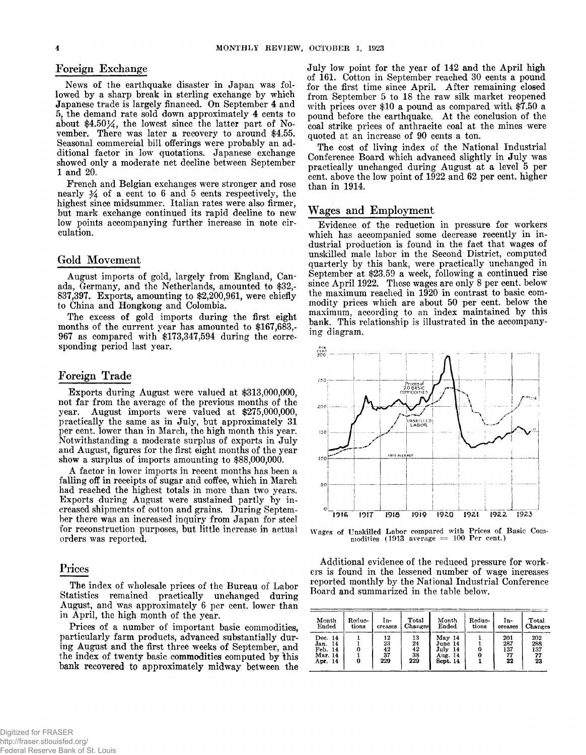## **Foreign Exchange**

**News of the earthquake disaster in Japan was followed by a sharp break in sterling exchange by which Japanese trade is largely financed. On September 4 and 5, the demand rate sold down approximately 4 cents to about \$4.50%, the lowest since the latter part of November. There was later a recovery to around \$4.55. Seasonal commercial bill offerings were probably an additional factor in low quotations. Japanese exchange showed only a moderate net decline between September 1 and 20.**

**French and Belgian exchanges were stronger and rose nearly J4 of a cent to 6 and 5 cents respectively, the highest since midsummer. Italian rates were also firmer, but mark exchange continued its rapid decline to new low points accompanying further increase in note circulation.**

### **Gold Movement**

**August imports of gold, largely from England, Canada, Germany, and the Netherlands, amounted to \$32,- 837,397. Exports, amounting to \$2,200,961, were chiefly to China and Hongkong and Colombia.**

**The excess of gold imports during the first eight months of the current year has amounted to \$167,683,- 967 as compared with \$173,347,594 during the corresponding period last year.**

#### **Foreign Trade**

**Exports during August were valued at \$313,000,000, not far from the average of the previous months of the year. August imports were valued at \$275,000,000, practically the same as in July, but approximately 31 per cent, lower than in March, the high month this year. Notwithstanding a moderate surplus of exports in July and August, figures for the first eight months of the year show a surplus of imports amounting to \$88,000,000.**

**A factor in lower imports in recent months has been a falling off in receipts of sugar and coffee, which in March had reached the highest totals in more than two years. Exports during August were sustained partly by increased shipments of cotton and grains. During September there was an increased inquiry from Japan for steel for reconstruction purposes, but little increase in actual orders was reported.**

## **Prices**

**The index of wholesale prices of the Bureau of Labor Statistics remained practically unchanged during August, and was approximately 6 per cent, lower than in April, the high month of the year.**

**Prices of a number of important basic commodities, particularly farm products, advanced substantially during August and the first three weeks of September, and the index of twenty basic commodities computed by this bank recovered to approximately midway between the** **July low point for the year of 142 and the April high of 161. Cotton in September reached 30 cents a pound for the first time since April. After remaining closed from September 5 to 18 the raw silk market reopened with prices over \$10 a pound as compared with \$7.50 a pound before the earthquake. At the conclusion of the coal strike prices of anthracite coal at the mines were quoted at an increase of 90 cents a ton.**

**The cost of living index of the National Industrial Conference Board which advanced slightly in July was practically unchanged during August at a level 5 per cent, above the low point of 1922 and 62 per cent, higher than in 1914.**

## **Wages and Employment**

**Evidence of the reduction in pressure for workers which has accompanied some decrease recently in industrial production is found in the fact that wages of unskilled male labor in the Second District, computed quarterly by this bank, were practically unchanged in September at \$23.59 a week, following a continued rise since April 1922. These wages are only 8 per cent, below the maximum reached in 1920 in contrast to basic commodity prices which are about 50 per cent, below the maximum, according to an index maintained by this bank. This relationship is illustrated in the accompanying diagram.**



**Wages of Unskilled Labor compared with Prices of Basic Com-modities (1913 average = 100 Per cent.)**

**Additional evidence of the reduced pressure for workers is found in the lessened number of wage increases reported monthly by the National Industrial Conference Board and summarized in the table below.**

| Month                                                   | Reduc- | In-                         | Total                       | Month                                               | Reduc- | In-                               | Total                         |
|---------------------------------------------------------|--------|-----------------------------|-----------------------------|-----------------------------------------------------|--------|-----------------------------------|-------------------------------|
| Ended                                                   | tions  | creases                     | Changes                     | Ended                                               | tions  | oreases                           | Changes                       |
| Dec. 14<br>Jan.<br>-14<br>Feb. 14<br>Mar. 14<br>Apr. 14 |        | 12<br>23<br>42<br>37<br>229 | 13<br>24<br>42<br>38<br>229 | May 14<br>June 14<br>July 14<br>Aug. 14<br>Sept. 14 |        | 201<br>287<br>137<br>$^{77}_{22}$ | 202<br>288<br>137<br>77<br>23 |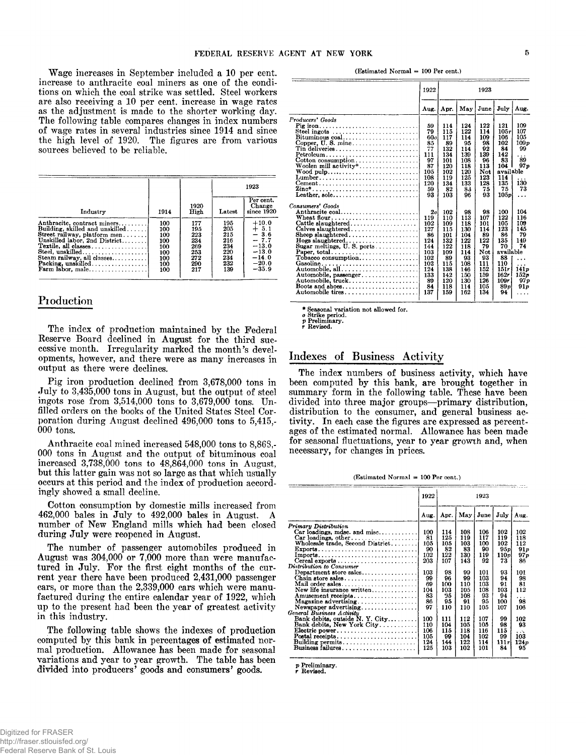**Wage increases in September included a 10 per cent, increase to anthracite coal miners as one of the conditions on which the coal strike was settled. Steel workers are also receiving a 10 per cent, increase in wage rates as the adjustment is made to the shorter working day. The following table compares changes in index numbers of wage rates in several industries since 1914 and since the high level of 1920. The figures are from various sources believed to be reliable.**

|                                                                                                                                                                                                                                                     |                                                             |                                                             |                                                             | 1923                                                                                          |
|-----------------------------------------------------------------------------------------------------------------------------------------------------------------------------------------------------------------------------------------------------|-------------------------------------------------------------|-------------------------------------------------------------|-------------------------------------------------------------|-----------------------------------------------------------------------------------------------|
| Industry                                                                                                                                                                                                                                            | 1914                                                        | 1920<br>High                                                | Latest                                                      | Per cent.<br>Change<br>since 1920                                                             |
| Anthracite, contract miners<br>Building, skilled and unskilled<br>Street railway, platform men<br>Unskilled labor, 2nd District<br>Textile, all classes<br>Steel, unskilled<br>Steam railway, all classes<br>Packing, unskilled<br>Farm labor, male | 100<br>100<br>100<br>100<br>100<br>100<br>100<br>100<br>100 | 177<br>195<br>223<br>234<br>269<br>253<br>272<br>290<br>217 | 195<br>205<br>215<br>216<br>234<br>220<br>234<br>232<br>139 | $+10.0$<br>$+ 5.1$<br>$-3.6$<br>$-7.7$<br>$-13.0$<br>$-13.0$<br>$-14.0$<br>$-20.0$<br>$-35.9$ |

## **Production**

**The index of production maintained by the Federal Reserve Board declined in August for the third successive month. Irregularity marked the month's developments, however, and there were as many increases in output as there were declines.**

**Pig iron production declined from 3,678,000 tons in July to 3,435,000 tons in August, but the output of steel ingots rose from 3,514,000 tons to 3,679,000 tons. Unfilled orders on the books of the United States Steel Corporation during August declined 496,000 tons to 5,415,-** 000 **tons.**

**Anthracite coal mined increased 548,000 tons to 8,868,- 000 tons in August and the output of bituminous coal increased 3,738,000 tons to 48,864,000 tons in August, but this latter gain was not so large as that which usually occurs at this period and the index of production accordingly showed a small decline.**

**Cotton consumption by domestic mills increased from 462,000 bales in July to 492,000 bales in August. A number of New England mills which had been closed during July were reopened in August.**

**The number of passenger automobiles produced in August was 304,000 or 7,000 more than were manufactured in July. For the first eight months of the current year there have been produced 2,431,000 passenger cars, or more than the 2,339,000 cars which were manufactured during the entire calendar year of 1922, which up to the present had been the year of greatest activity in this industry.**

**The following table shows the indexes of production computed by this bank in percentages of estimated normal production. Allowance has been made for seasonal variations and year to year growth. The table has been divided into producers***9* **goods and consumers***9* **goods.**

(Estimated Normal = 100 Per cent.)

|                                                                           | 1922            | 1923 |     |      |           |      |
|---------------------------------------------------------------------------|-----------------|------|-----|------|-----------|------|
|                                                                           | Aug.            | Apr. | May | June | July      | Aug. |
| Producers' Goods                                                          |                 |      |     |      |           |      |
| Pig iron                                                                  | 59              | 114  | 124 | 122  | 121       | 109  |
| Steel ingots                                                              | 79              | 115  | 122 | 114  | 105r      | 107  |
| Bituminous coal                                                           | 60 <sub>o</sub> | 117  | 114 | 109  | 106       | 105  |
|                                                                           | 85              | 89   | 95  | 98   | 102       | 109p |
| Tin deliveries                                                            | 77              | 132  | 114 | 92   | 84        | 99   |
| Petroleum                                                                 | 111             | 134  | 139 | 139  | 142       |      |
|                                                                           | 97              | 101  | 108 | 96   | 83        | 89   |
| Woolen mill activity*                                                     | 87              | 120  | 118 | 113  | 104       | 97n  |
| $Wood \text{ pulp} \dots \dots \dots \dots \dots \dots \dots \dots \dots$ | 105             | 102  | 120 | Not  | available |      |
| $Lumber$                                                                  | 108             | 119  | 125 | 123  | 114       |      |
| $Cement \dots \dots \dots \dots \dots \dots \dots \dots \dots \dots$      | 120             | 134  | 133 | 128  | 135       | 130  |
|                                                                           | 59              | 82   | 83  | 75   | 75        | 73   |
| Leather. sole                                                             | 93              | 103  | 96  | 93   | 105p      | .    |
| Consumers' Goods                                                          |                 |      |     |      |           |      |
| Anthracite coal                                                           | 2o              | 102  | 98  | 98   | 100       | 104  |
|                                                                           | 119             | 110  | 113 | 107  | 122       | 116  |
| Cattle slaughtered                                                        | 102             | 109  | 118 | 101  | 105       | 109  |
| Calves slaughtered                                                        | 127             | 115  | 130 | 114  | 123       | 145  |
| Sheep slaughtered                                                         | 86              | 101  | 104 | 89   | 86        | 79   |
| Hogs slaughtered                                                          | 124             | 132  | 122 | 122  | 135       | 149  |
| Sugar meltings, U.S. ports                                                | 144             | 122  | 118 | 79   | 70        | 74   |
| Paper, total                                                              | 103             | 109  | 114 | Not  | available |      |
| $\text{Tobase}$ consumption                                               | 102             | 89   | 93  | 93   | 88        |      |
| Gasoline                                                                  | 102             | 115  | 108 | 111  | 110       |      |
| Automobile, all                                                           | 124             | 138  | 146 | 152  | 151r      | 141p |
| Automobile, passenger                                                     | 133             | 142  | 150 | 159  | 162r      | 152x |
| Automobile, truck                                                         | 89              | 120  | 130 | 126  | 109r      | 97p  |
| Boots and shoes                                                           | 84              | 118  | 114 | 105  | 89 v      | 91 v |
| Automobile tires                                                          | 137             | 159  | 162 | 134  | 94        |      |
|                                                                           |                 |      |     |      |           |      |

\* Seasonal variation not allowed for.<br>ø Strike period.<br>ø Preliminary.<br>**r** Revised.

# **Indexes of Business Activity**

**The index numbers of business activity, which have been computed by this bank, are brought together in summary form in the following table. These have been divided into three major groups— primary distribution,** distribution to the consumer, and general business ac**tivity. In each case the figures are expressed as percentages of the estimated normal. Allowance has been made for seasonal fluctuations, year to year growth and, when necessary, for changes in prices.**

 $(Estimated Normal = 100 Per cent.)$ 

|                                  | 1922 | 1923 |     |      |      |        |
|----------------------------------|------|------|-----|------|------|--------|
|                                  | Aug. | Apr. | May | June | July | Aug.   |
| Primary Distribution             |      |      |     |      |      |        |
| $Car$ loadings, mdse. and misc   | 100  | 114  | 108 | 106  | 102  | 102    |
| $Car$ loadings, other            | 81   | 125  | 119 | 117  | 119  | 118    |
| Wholesale trade, Second District | 105  | 105  | 103 | 100  | 102  | 112    |
| Exports                          | 90   | 82   | 83  | 90   | 95p  | 91p    |
|                                  | 102  | 122  | 130 | 119  | 110p | 97 p   |
| Cereal exports                   | 203  | 107  | 143 | 92   | 73   | 86     |
| Distribution to Consumer         |      |      |     |      |      |        |
| Department store sales           | 103  | 98   | 99  | 101  | 93   | 101    |
| Chain store sales                | 99   | 96   | 99  | 103  | 94   | 98     |
| Mail order sales                 | 69   | 100  | 110 | 103  | 91   | 81     |
| New life insurance written       | 104  | 103  | 105 | 108  | 103  | 112    |
| Amusement receipts               | 83   | 95   | 108 | 93   | 94   | .      |
| Magazine advertising             | 86   | 95   | 91  | 95   | 100  | 98     |
|                                  | 97   | 110  | 110 | 105  | 107  | 106    |
| General Business Activity        |      |      |     |      |      |        |
| Bank debits, outside N. Y. City  | 100  | 111  | 112 | 107  | 99   | 102    |
| Bank debits, New York City       | 110  | 104  | 105 | 105  | 98   | 93     |
| Electric power                   | 106  | 115  | 118 | 116  | 115  | $\sim$ |
|                                  | 105  | 99   | 104 | 102  | 99   | 103    |
| Building permits                 | 124  | 144  | 122 | 114  | 111r | 124p   |
| Business failures                | 125  | 103  | 102 | 101  | 84   | 95     |

p Preliminary, r Revised.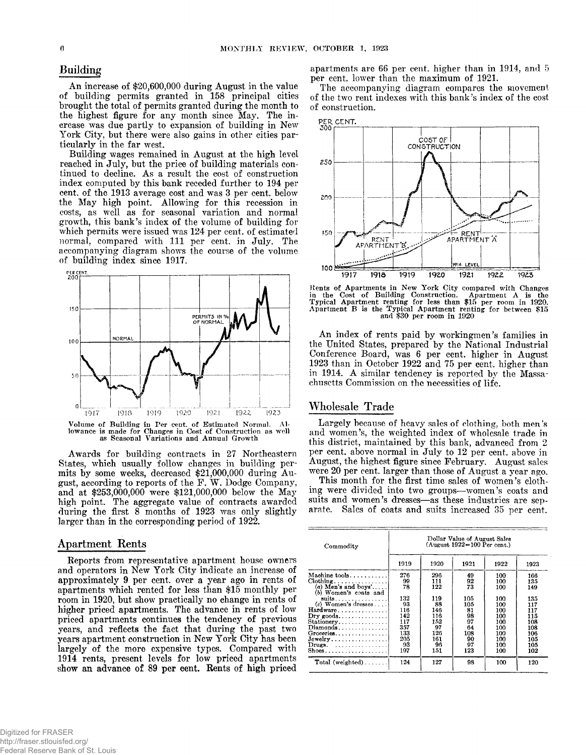### **Building**

**An increase of \$20,600,000 during August in the value of building permits granted in 158 principal cities brought the total of permits granted during the month to the highest figure for any month since May. The increase was due partly to expansion of building in New** York City, but there were also gains in other cities par**ticularly in the far west.**

**Building wages remained in August at the high level reached in July, but the price of building materials continued to decline. As a result the cost of construction index computed by this bank receded further to 194 per cent, of the 1913 average cost and was 3 per cent, below the May high point. Allowing for this recession in costs, as well as for seasonal variation and normal growth, this bank's index of the volume of building for which permits were issued was 124 per cent, of estimated normal, compared with 111 per cent, in July. The accompanying diagram shows the course of the volume of building index since 1917.**



Volume of Building in Per cent, of Estimated Normal. Al-lowance is made for Changes in Cost of Construction as well as Seasonal Variations and Annual Growth

**Awards for building contracts in 27 Northeastern States, which usually follow changes in building permits by some weeks, decreased \$21,000,000 during August, according to reports of the F.** *W .* **Dodge Company, and at \$253,000,000 were \$121,000,000 below the May high point. The aggregate value of contracts awarded during the first 8 months of 1923 was only slightly larger than in the corresponding period of 1922.**

#### **Apartment Rents**

**Reports from representative apartment house owners and operators in New York City indicate an increase of approximately 9 per cent, over a year ago in rents of apartments which rented for less than \$15 monthly per room in 1920, but show practically no change in rents of higher priced apartments. The advance in rents of low priced apartments continues the tendency of previous years, and reflects the fact that during the past two years apartment construction in New York City has been largely of the more expensive types. Compared with 1914 rents, present levels for low priced apartments show an advance of 89 per cent. Rents of high priced**

**apartments are 66 per cent, higher than in 1914, and 5 per cent, lower than the maximum of 1921.**

**The accompanying diagram compares the movement of the two rent indexes with this bank's index of the cost of construction.**



Rents of Apartments in New York City compared with Changes in the Cost of Building Construction. Apartment A is the In the Cost of Building Construction. Apartment A is the Typical Apartment renting for less than \$15 per room in 1920. Apartment B is the Typical Apartment renting for between \$15 and \$30 per room in 1920

**An index of rents paid by workingmen's families in the United States, prepared by the National Industrial Conference Board, was 6 per cent, higher in August 1923 than in October 1922 and 75 per cent, higher than in 1914. A similar tendency is reported by the Massachusetts Commission on the necessities of life.**

#### **Wholesale Trade**

Largely because of heavy sales of clothing, both men's **and women's, the weighted index of wholesale trade in this district, maintained by this bank, advanced from 2 per cent, above normal in July to 12 per cent, above in August, the highest figure since February. August sales were 20 per cent, larger than those of August a year ago.**

**This month for the first time sales of women's clothing were divided into two groups— women's coats and** suits and women's dresses-as these industries are sep**arate. Sales of coats and suits increased 35 per cent.**

| Commodity                                                 | Dollar Value of August Sales<br>$(A$ ugust 1922=100 Per cent.) |      |      |      |      |  |  |
|-----------------------------------------------------------|----------------------------------------------------------------|------|------|------|------|--|--|
|                                                           | 1919                                                           | 1920 | 1921 | 1922 | 1923 |  |  |
| Machine tools                                             | 276                                                            | 296  | 49   | 100  | 166  |  |  |
|                                                           | 99                                                             | 111  | 92   | 100  | 135  |  |  |
| (b) Women's coats and                                     | 78                                                             | 122  | 73   | 100  | 149  |  |  |
| suits. $\ldots$                                           | 132                                                            | 119  | 105  | 100  | 135  |  |  |
| $(c)$ Women's dresses                                     | 93                                                             | 88   | 105  | 100  | 117  |  |  |
| Hardware                                                  | 116                                                            | 146  | 81   | 100  | 117  |  |  |
| $\text{Dry }$ goods                                       | 142                                                            | 116  | 98   | 100  | 115  |  |  |
| Stationery                                                | 117                                                            | 152  | 97   | 100  | 108  |  |  |
| $Diamonds$                                                | 357                                                            | 97   | 64   | 100  | 108  |  |  |
| Groceries                                                 | 133                                                            | 126  | 108  | 100  | 106  |  |  |
| Jewelry                                                   | 205                                                            | 161  | 90   | 100  | 105  |  |  |
| Drugs. $\ldots \ldots \ldots \ldots$                      | 93                                                             | 96   | 97   | 100  | 105  |  |  |
| $\text{Shoes.} \dots \dots \dots \dots \dots \dots \dots$ | 197                                                            | 151  | 123  | 100  | 102  |  |  |
| $Total (weighted) \dots$                                  | 124                                                            | 127  | 98   | 100  | 120  |  |  |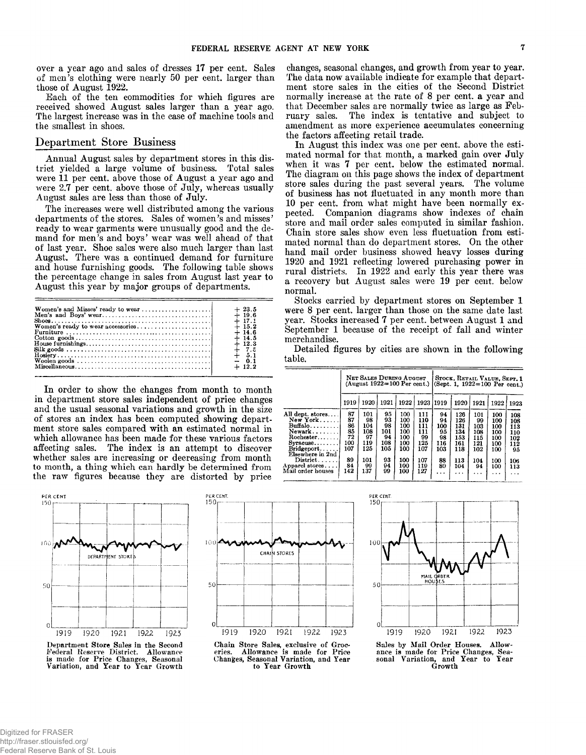**over a year ago and sales of dresses 17 per cent. Sales of men's clothing were nearly 50 per cent, larger than those of August 1922.**

**Each of the ten commodities for which figures are received showed August sales larger than a year ago. The largest increase was in the case of machine tools and the smallest in shoes.**

## **Department Store Business**

**Annual August sales by department stores in this district yielded a large volume of business. Total sales were 11 per cent, above those of August a year ago and were 2.7 per cent, above those of July, whereas usually August sales are less than those of July.**

**The increases were well distributed among the various departments of the stores. Sales of women's and misses' ready to wear garments were unusually good and the demand for men's and boys' wear was well ahead of that of last year. Shoe sales were also much larger than last August. There was a continued demand for furniture and house furnishing goods. The following table shows the percentage change in sales from August last year to August this year by major groups of departments.**

|                                                                                                                                                                                                                                                                                                                                                                             | $+23.5$  |
|-----------------------------------------------------------------------------------------------------------------------------------------------------------------------------------------------------------------------------------------------------------------------------------------------------------------------------------------------------------------------------|----------|
|                                                                                                                                                                                                                                                                                                                                                                             | $+19.6$  |
|                                                                                                                                                                                                                                                                                                                                                                             | $+17.1$  |
|                                                                                                                                                                                                                                                                                                                                                                             | $+15.2$  |
|                                                                                                                                                                                                                                                                                                                                                                             | $+14.6$  |
| $\text{Cottom } \text{goods} \dots \dots \dots \dots \dots \dots \dots \dots \dots \dots \dots \dots$                                                                                                                                                                                                                                                                       | $+14.5$  |
|                                                                                                                                                                                                                                                                                                                                                                             | $+12.3$  |
|                                                                                                                                                                                                                                                                                                                                                                             | $+$ 7.5  |
| $F$ $\overline{F}$ $\overline{F}$ $\overline{F}$ $\overline{F}$ $\overline{F}$ $\overline{F}$ $\overline{F}$ $\overline{F}$ $\overline{F}$ $\overline{F}$ $\overline{F}$ $\overline{F}$ $\overline{F}$ $\overline{F}$ $\overline{F}$ $\overline{F}$ $\overline{F}$ $\overline{F}$ $\overline{F}$ $\overline{F}$ $\overline{F}$ $\overline{F}$ $\overline{F}$ $\overline{F}$ | $+ 5.1$  |
|                                                                                                                                                                                                                                                                                                                                                                             |          |
|                                                                                                                                                                                                                                                                                                                                                                             | $+ 19.9$ |
|                                                                                                                                                                                                                                                                                                                                                                             |          |

**In order to show the changes from month to month in department store sales independent of price changes and the usual seasonal variations and growth in the size of stores an index has been computed showing department store sales compared with an estimated normal in which allowance has been made for these various factors affecting sales. The index is an attempt to discover whether sales are increasing or decreasing from month to month, a thing which can hardly be determined from the raw figures because they are distorted by price**



Federal Reserve District. Allowance is made for Price Changes, Seasonal Variation, and Year to Year Growth





**changes, seasonal changes, and growth from year to year. The data now available indicate for example that department store sales in the cities of the Second District normally increase at the rate of 8 per cent, a year and that December sales are normally twice as large as February sales. The index is tentative and subject to amendment as more experience accumulates concerning the factors affecting retail trade.**

**In August this index was one per cent, above the estimated normal for that month, a marked gain over July when it was 7 per cent, below the estimated normal. The diagram on this page shows the index of department store sales during the past several years. The volume of business has not fluctuated in any month more than 10 per cent, from what might have been normally expected. Companion diagrams show indexes of chain store and mail order sales computed in similar fashion. Chain store sales show even less fluctuation from estimated normal than do department stores. On the other hand mail order business showed heavy losses during 1920 and 1921 reflecting lowered purchasing power in rural districts. In 1922 and early this year there was a recovery but August sales were 19 per cent, below normal.**

**Stocks carried by department stores on September 1 were 8 per cent, larger than those on the same date last year. Stocks increased 7 per cent, between August 1 and September 1 because of the receipt of fall and winter merchandise.**

**Detailed figures by cities are shown in the following table.**

|                                                                                         | NET SALES DURING AUGUST<br>$(Auzust 1922=100 Per cent.)$ |                                             |                                           |                                               |                                              |                                           | STOCK, RETAIL VALUE, SEPT. 1<br>(Sept. 1, 1922=100 Per cent.) |                                              |                                               |                                              |
|-----------------------------------------------------------------------------------------|----------------------------------------------------------|---------------------------------------------|-------------------------------------------|-----------------------------------------------|----------------------------------------------|-------------------------------------------|---------------------------------------------------------------|----------------------------------------------|-----------------------------------------------|----------------------------------------------|
|                                                                                         | 1919                                                     | 1920                                        | 1921                                      | 1922                                          | 1923                                         | 1919                                      | 1920                                                          | 1921                                         | 1922                                          | 1923                                         |
| All dept. stores<br>New York<br>$\text{Buffalo} \dots \dots$<br>Rochester<br>$Syracuse$ | 87<br>87<br>86<br>85<br>72<br>100<br>107                 | 101<br>98<br>104<br>108<br>97<br>119<br>125 | 95<br>93<br>98<br>101<br>94<br>108<br>105 | 100<br>100<br>100<br>100<br>100<br>100<br>100 | 111<br>110<br>111<br>111<br>99<br>125<br>107 | 94<br>94<br>100<br>95<br>98<br>116<br>103 | 126<br>126<br>131<br>134<br>153<br>161<br>118                 | 101<br>99<br>103<br>108<br>115<br>121<br>102 | 100<br>100<br>100<br>100<br>100<br>100<br>100 | 108<br>108<br>113<br>110<br>102<br>112<br>95 |
| Elsewhere in 2nd<br>$Distribt$<br>Apparel stores<br>Mail order houses                   | 89<br>84<br>142                                          | 101<br>99<br>137                            | 93<br>94<br>99                            | 100<br>100<br>100                             | 107<br>119<br>127                            | 88<br>80<br>.                             | 113<br>104<br>.                                               | 104<br>94<br>$\cdots$                        | 100<br>100<br>$\cdots$                        | 106<br>113<br>.                              |



Sales by Mail Order Houses. Allowance is made for Price Changes, Sea-sonal Variation, and Year to Year Growth